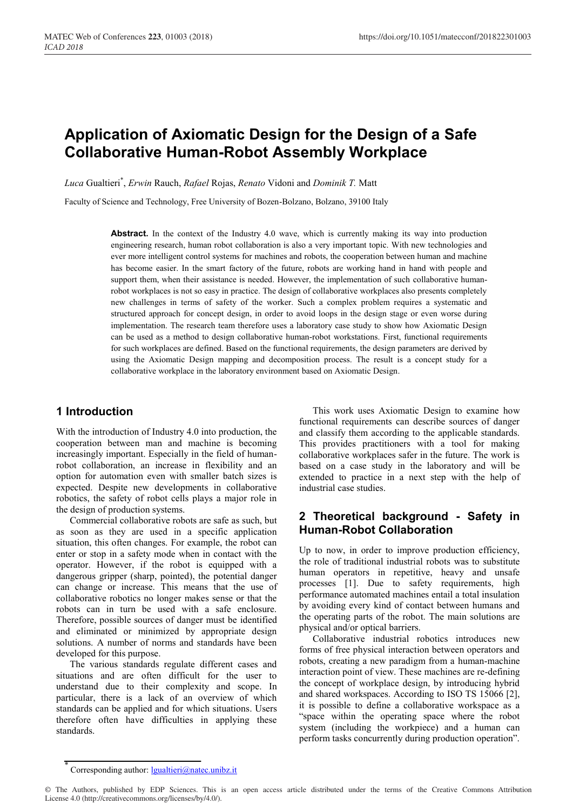# **Application of Axiomatic Design for the Design of a Safe Collaborative Human-Robot Assembly Workplace**

*Luca* Gualtieri\* , *Erwin* Rauch, *Rafael* Rojas, *Renato* Vidoni and *Dominik T.* Matt

Faculty of Science and Technology, Free University of Bozen-Bolzano, Bolzano, 39100 Italy

**Abstract.** In the context of the Industry 4.0 wave, which is currently making its way into production engineering research, human robot collaboration is also a very important topic. With new technologies and ever more intelligent control systems for machines and robots, the cooperation between human and machine has become easier. In the smart factory of the future, robots are working hand in hand with people and support them, when their assistance is needed. However, the implementation of such collaborative humanrobot workplaces is not so easy in practice. The design of collaborative workplaces also presents completely new challenges in terms of safety of the worker. Such a complex problem requires a systematic and structured approach for concept design, in order to avoid loops in the design stage or even worse during implementation. The research team therefore uses a laboratory case study to show how Axiomatic Design can be used as a method to design collaborative human-robot workstations. First, functional requirements for such workplaces are defined. Based on the functional requirements, the design parameters are derived by using the Axiomatic Design mapping and decomposition process. The result is a concept study for a collaborative workplace in the laboratory environment based on Axiomatic Design.

# **1 Introduction**

With the introduction of Industry 4.0 into production, the cooperation between man and machine is becoming increasingly important. Especially in the field of humanrobot collaboration, an increase in flexibility and an option for automation even with smaller batch sizes is expected. Despite new developments in collaborative robotics, the safety of robot cells plays a major role in the design of production systems.

Commercial collaborative robots are safe as such, but as soon as they are used in a specific application situation, this often changes. For example, the robot can enter or stop in a safety mode when in contact with the operator. However, if the robot is equipped with a dangerous gripper (sharp, pointed), the potential danger can change or increase. This means that the use of collaborative robotics no longer makes sense or that the robots can in turn be used with a safe enclosure. Therefore, possible sources of danger must be identified and eliminated or minimized by appropriate design solutions. A number of norms and standards have been developed for this purpose.

The various standards regulate different cases and situations and are often difficult for the user to understand due to their complexity and scope. In particular, there is a lack of an overview of which standards can be applied and for which situations. Users therefore often have difficulties in applying these standards.

This work uses Axiomatic Design to examine how functional requirements can describe sources of danger and classify them according to the applicable standards. This provides practitioners with a tool for making collaborative workplaces safer in the future. The work is based on a case study in the laboratory and will be extended to practice in a next step with the help of industrial case studies.

# **2 Theoretical background - Safety in Human-Robot Collaboration**

Up to now, in order to improve production efficiency, the role of traditional industrial robots was to substitute human operators in repetitive, heavy and unsafe processes [1]. Due to safety requirements, high performance automated machines entail a total insulation by avoiding every kind of contact between humans and the operating parts of the robot. The main solutions are physical and/or optical barriers.

Collaborative industrial robotics introduces new forms of free physical interaction between operators and robots, creating a new paradigm from a human-machine interaction point of view. These machines are re-defining the concept of workplace design, by introducing hybrid and shared workspaces. According to ISO TS 15066 [2], it is possible to define a collaborative workspace as a "space within the operating space where the robot system (including the workpiece) and a human can perform tasks concurrently during production operation".

Corresponding author: <u>lgualtieri@natec.unibz.it</u>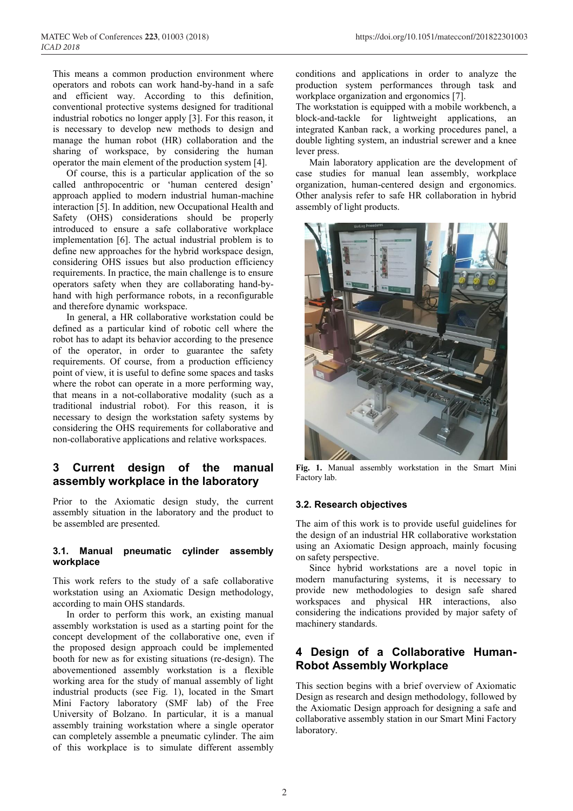This means a common production environment where operators and robots can work hand-by-hand in a safe and efficient way. According to this definition, conventional protective systems designed for traditional industrial robotics no longer apply [3]. For this reason, it is necessary to develop new methods to design and manage the human robot (HR) collaboration and the sharing of workspace, by considering the human operator the main element of the production system [4].

Of course, this is a particular application of the so called anthropocentric or "human centered design" approach applied to modern industrial human-machine interaction [5]. In addition, new Occupational Health and Safety (OHS) considerations should be properly introduced to ensure a safe collaborative workplace implementation [6]. The actual industrial problem is to define new approaches for the hybrid workspace design, considering OHS issues but also production efficiency requirements. In practice, the main challenge is to ensure operators safety when they are collaborating hand-byhand with high performance robots, in a reconfigurable and therefore dynamic workspace.

In general, a HR collaborative workstation could be defined as a particular kind of robotic cell where the robot has to adapt its behavior according to the presence of the operator, in order to guarantee the safety requirements. Of course, from a production efficiency point of view, it is useful to define some spaces and tasks where the robot can operate in a more performing way, that means in a not-collaborative modality (such as a traditional industrial robot). For this reason, it is necessary to design the workstation safety systems by considering the OHS requirements for collaborative and non-collaborative applications and relative workspaces.

# **3 Current design of the manual assembly workplace in the laboratory**

Prior to the Axiomatic design study, the current assembly situation in the laboratory and the product to be assembled are presented.

### **3.1. Manual pneumatic cylinder assembly workplace**

This work refers to the study of a safe collaborative workstation using an Axiomatic Design methodology, according to main OHS standards.

In order to perform this work, an existing manual assembly workstation is used as a starting point for the concept development of the collaborative one, even if the proposed design approach could be implemented booth for new as for existing situations (re-design). The abovementioned assembly workstation is a flexible working area for the study of manual assembly of light industrial products (see Fig. 1), located in the Smart Mini Factory laboratory (SMF lab) of the Free University of Bolzano. In particular, it is a manual assembly training workstation where a single operator can completely assemble a pneumatic cylinder. The aim of this workplace is to simulate different assembly

conditions and applications in order to analyze the production system performances through task and workplace organization and ergonomics [7].

The workstation is equipped with a mobile workbench, a block-and-tackle for lightweight applications, an integrated Kanban rack, a working procedures panel, a double lighting system, an industrial screwer and a knee lever press.

Main laboratory application are the development of case studies for manual lean assembly, workplace organization, human-centered design and ergonomics. Other analysis refer to safe HR collaboration in hybrid assembly of light products.



**Fig. 1.** Manual assembly workstation in the Smart Mini Factory lab.

### **3.2. Research objectives**

The aim of this work is to provide useful guidelines for the design of an industrial HR collaborative workstation using an Axiomatic Design approach, mainly focusing on safety perspective.

Since hybrid workstations are a novel topic in modern manufacturing systems, it is necessary to provide new methodologies to design safe shared workspaces and physical HR interactions, also considering the indications provided by major safety of machinery standards.

# **4 Design of a Collaborative Human-Robot Assembly Workplace**

This section begins with a brief overview of Axiomatic Design as research and design methodology, followed by the Axiomatic Design approach for designing a safe and collaborative assembly station in our Smart Mini Factory laboratory.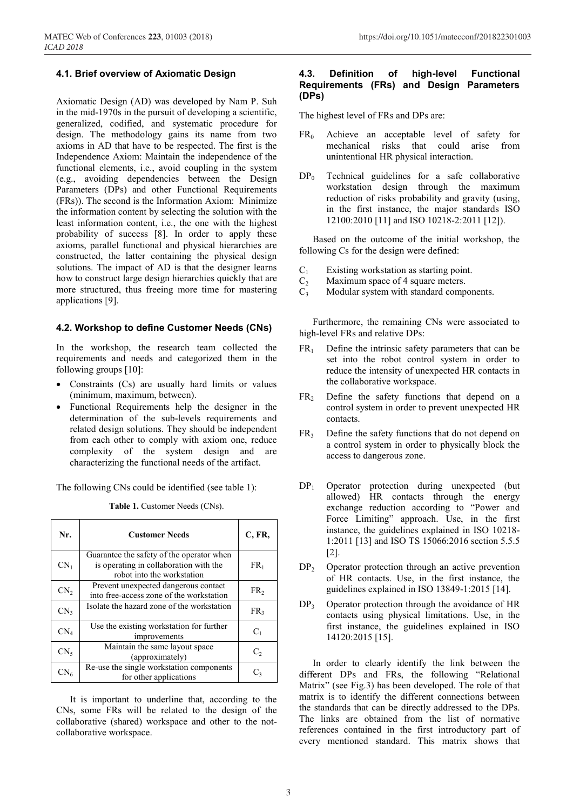### **4.1. Brief overview of Axiomatic Design**

Axiomatic Design (AD) was developed by Nam P. Suh in the mid-1970s in the pursuit of developing a scientific, generalized, codified, and systematic procedure for design. The methodology gains its name from two axioms in AD that have to be respected. The first is the Independence Axiom: Maintain the independence of the functional elements, i.e., avoid coupling in the system (e.g., avoiding dependencies between the Design Parameters (DPs) and other Functional Requirements (FRs)). The second is the Information Axiom: Minimize the information content by selecting the solution with the least information content, i.e., the one with the highest probability of success [8]. In order to apply these axioms, parallel functional and physical hierarchies are constructed, the latter containing the physical design solutions. The impact of AD is that the designer learns how to construct large design hierarchies quickly that are more structured, thus freeing more time for mastering applications [9].

### **4.2. Workshop to define Customer Needs (CNs)**

In the workshop, the research team collected the requirements and needs and categorized them in the following groups [10]:

- Constraints (Cs) are usually hard limits or values (minimum, maximum, between).
- Functional Requirements help the designer in the determination of the sub-levels requirements and related design solutions. They should be independent from each other to comply with axiom one, reduce complexity of the system design and are characterizing the functional needs of the artifact.

The following CNs could be identified (see table 1):

**Table 1.** Customer Needs (CNs).

| Nr.             | <b>Customer Needs</b>                                                                                             | C, FR,          |  |
|-----------------|-------------------------------------------------------------------------------------------------------------------|-----------------|--|
| $CN_1$          | Guarantee the safety of the operator when<br>is operating in collaboration with the<br>robot into the workstation | FR <sub>1</sub> |  |
| CN <sub>2</sub> | Prevent unexpected dangerous contact<br>into free-access zone of the workstation                                  | FR <sub>2</sub> |  |
| CN <sub>3</sub> | Isolate the hazard zone of the workstation                                                                        | FR <sub>3</sub> |  |
| $CN_{4}$        | Use the existing workstation for further<br>improvements                                                          | $C_1$           |  |
| CN <sub>5</sub> | Maintain the same layout space<br>(approximately)                                                                 | C,              |  |
| $\text{CN}_6$   | Re-use the single workstation components<br>for other applications                                                | C3              |  |

It is important to underline that, according to the CNs, some FRs will be related to the design of the collaborative (shared) workspace and other to the notcollaborative workspace.

### **4.3. Definition of high-level Functional Requirements (FRs) and Design Parameters (DPs)**

The highest level of FRs and DPs are:

- $FR<sub>0</sub>$  Achieve an acceptable level of safety for mechanical risks that could arise from unintentional HR physical interaction.
- $DP<sub>0</sub>$  Technical guidelines for a safe collaborative workstation design through the maximum reduction of risks probability and gravity (using, in the first instance, the major standards ISO 12100:2010 [11] and ISO 10218-2:2011 [12]).

Based on the outcome of the initial workshop, the following Cs for the design were defined:

- 
- $C_1$  Existing workstation as starting point.<br>C<sub>2</sub> Maximum space of 4 square meters.
- $C_2$  Maximum space of 4 square meters.<br> $C_3$  Modular system with standard comp Modular system with standard components.

Furthermore, the remaining CNs were associated to high-level FRs and relative DPs:

- $FR<sub>1</sub>$  Define the intrinsic safety parameters that can be set into the robot control system in order to reduce the intensity of unexpected HR contacts in the collaborative workspace.
- $FR<sub>2</sub>$  Define the safety functions that depend on a control system in order to prevent unexpected HR contacts.
- FR<sub>3</sub> Define the safety functions that do not depend on a control system in order to physically block the access to dangerous zone.
- DP1 Operator protection during unexpected (but allowed) HR contacts through the energy exchange reduction according to "Power and Force Limiting" approach. Use, in the first instance, the guidelines explained in ISO 10218- 1:2011 [13] and ISO TS 15066:2016 section 5.5.5 [2].
- $DP<sub>2</sub>$  Operator protection through an active prevention of HR contacts. Use, in the first instance, the guidelines explained in ISO 13849-1:2015 [14].
- $DP<sub>3</sub>$  Operator protection through the avoidance of HR contacts using physical limitations. Use, in the first instance, the guidelines explained in ISO 14120:2015 [15].

In order to clearly identify the link between the different DPs and FRs, the following "Relational Matrix" (see Fig.3) has been developed. The role of that matrix is to identify the different connections between the standards that can be directly addressed to the DPs. The links are obtained from the list of normative references contained in the first introductory part of every mentioned standard. This matrix shows that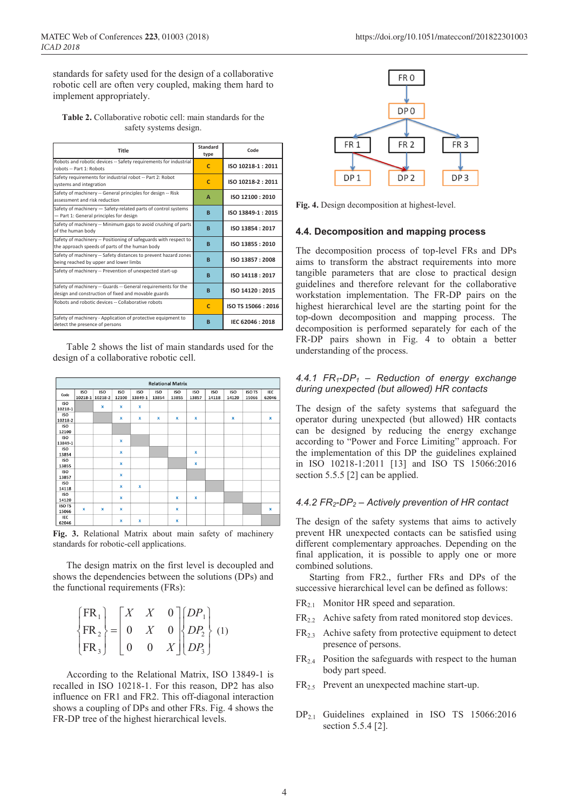standards for safety used for the design of a collaborative robotic cell are often very coupled, making them hard to implement appropriately.

**Table 2.** Collaborative robotic cell: main standards for the safety systems design.

| Title                                                                                                                | <b>Standard</b><br>type | Code               |
|----------------------------------------------------------------------------------------------------------------------|-------------------------|--------------------|
| Robots and robotic devices -- Safety requirements for industrial<br>robots -- Part 1: Robots                         | c                       | ISO 10218-1:2011   |
| Safety requirements for industrial robot -- Part 2: Robot<br>systems and integration                                 | $\mathsf{C}$            | ISO 10218-2:2011   |
| Safety of machinery -- General principles for design -- Risk<br>assessment and risk reduction                        | A                       | ISO 12100: 2010    |
| Safety of machinery - Safety-related parts of control systems<br>- Part 1: General principles for design             | B                       | ISO 13849-1:2015   |
| Safety of machinery -- Minimum gaps to avoid crushing of parts<br>of the human body                                  | <b>B</b>                | ISO 13854: 2017    |
| Safety of machinery -- Positioning of safeguards with respect to<br>the approach speeds of parts of the human body   | B                       | ISO 13855: 2010    |
| Safety of machinery -- Safety distances to prevent hazard zones<br>being reached by upper and lower limbs            | B                       | ISO 13857: 2008    |
| Safety of machinery -- Prevention of unexpected start-up                                                             | <b>B</b>                | ISO 14118: 2017    |
| Safety of machinery -- Guards -- General requirements for the<br>design and construction of fixed and movable guards | <b>B</b>                | ISO 14120: 2015    |
| Robots and robotic devices -- Collaborative robots                                                                   | C                       | ISO TS 15066: 2016 |
| Safety of machinery - Application of protective equipment to<br>detect the presence of persons                       | B                       | IEC 62046: 2018    |

Table 2 shows the list of main standards used for the design of a collaborative robotic cell.



**Fig. 3.** Relational Matrix about main safety of machinery standards for robotic-cell applications.

The design matrix on the first level is decoupled and shows the dependencies between the solutions (DPs) and the functional requirements (FRs):

| FR <sub>1</sub> | X              | X | $0 \rceil [DP_1]$                |  |
|-----------------|----------------|---|----------------------------------|--|
| $\{FR_2\}$ = 0  |                | X | $0 \left  \{DP_2 \} (1) \right $ |  |
| $ FR_{3} $      | $\overline{0}$ |   | $X \mid D P_{3} \mid$            |  |

According to the Relational Matrix, ISO 13849-1 is recalled in ISO 10218-1. For this reason, DP2 has also influence on FR1 and FR2. This off-diagonal interaction shows a coupling of DPs and other FRs. Fig. 4 shows the FR-DP tree of the highest hierarchical levels.



**Fig. 4.** Design decomposition at highest-level.

#### **4.4. Decomposition and mapping process**

The decomposition process of top-level FRs and DPs aims to transform the abstract requirements into more tangible parameters that are close to practical design guidelines and therefore relevant for the collaborative workstation implementation. The FR-DP pairs on the highest hierarchical level are the starting point for the top-down decomposition and mapping process. The decomposition is performed separately for each of the FR-DP pairs shown in Fig. 4 to obtain a better understanding of the process.

### *4.4.1 FR1-DP1 – Reduction of energy exchange during unexpected (but allowed) HR contacts*

The design of the safety systems that safeguard the operator during unexpected (but allowed) HR contacts can be designed by reducing the energy exchange according to "Power and Force Limiting" approach. For the implementation of this DP the guidelines explained in ISO 10218-1:2011 [13] and ISO TS 15066:2016 section 5.5.5 [2] can be applied.

#### *4.4.2 FR2-DP2 – Actively prevention of HR contact*

The design of the safety systems that aims to actively prevent HR unexpected contacts can be satisfied using different complementary approaches. Depending on the final application, it is possible to apply one or more combined solutions.

Starting from FR2., further FRs and DPs of the successive hierarchical level can be defined as follows:

- $FR<sub>2.1</sub>$  Monitor HR speed and separation.
- $FR<sub>22</sub>$  Achive safety from rated monitored stop devices.
- $FR<sub>2.3</sub>$  Achive safety from protective equipment to detect presence of persons.
- $FR<sub>2.4</sub>$  Position the safeguards with respect to the human body part speed.
- FR2.5 Prevent an unexpected machine start-up.
- DP<sub>2.1</sub> Guidelines explained in ISO TS 15066:2016 section 5.5.4 [2].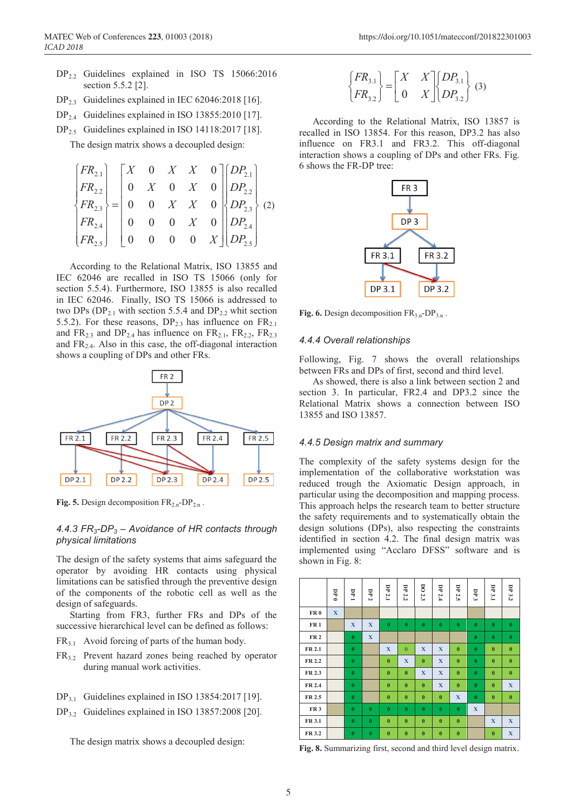- DP2.2 Guidelines explained in ISO TS 15066:2016 section 5.5.2 [2].
- DP<sub>2.3</sub> Guidelines explained in IEC 62046:2018 [16].
- DP<sub>2.4</sub> Guidelines explained in ISO 13855:2010 [17].
- DP<sub>2.5</sub> Guidelines explained in ISO 14118:2017 [18].

The design matrix shows a decoupled design:

$$
\begin{bmatrix} FR_{2.1} \\ FR_{2.2} \\ FR_{2.3} \\ FR_{2.4} \\ FR_{2.5} \end{bmatrix} = \begin{bmatrix} X & 0 & X & X & 0 \\ 0 & X & 0 & X & 0 \\ 0 & 0 & X & X & 0 \\ 0 & 0 & 0 & X & 0 \\ 0 & 0 & 0 & X & 0 \\ 0 & 0 & 0 & 0 & X \end{bmatrix} \begin{bmatrix} DP_{2.1} \\ DP_{2.2} \\ DP_{2.3} \\ DP_{2.4} \\ DP_{2.5} \end{bmatrix} (2)
$$

According to the Relational Matrix, ISO 13855 and IEC 62046 are recalled in ISO TS 15066 (only for section 5.5.4). Furthermore, ISO 13855 is also recalled in IEC 62046. Finally, ISO TS 15066 is addressed to two DPs ( $DP_{2,1}$  with section 5.5.4 and  $DP_{2,2}$  whit section 5.5.2). For these reasons,  $DP_{23}$  has influence on  $FR_{21}$ and  $FR<sub>2.3</sub>$  and  $DP<sub>2.4</sub>$  has influence on  $FR<sub>2.1</sub>$ ,  $FR<sub>2.2</sub>$ ,  $FR<sub>2.3</sub>$ and  $FR<sub>2.4</sub>$ . Also in this case, the off-diagonal interaction shows a coupling of DPs and other FRs.



**Fig. 5.** Design decomposition  $FR_{2n}$ -DP<sub>2.n</sub>.

### *4.4.3 FR3-DP3 – Avoidance of HR contacts through physical limitations*

The design of the safety systems that aims safeguard the operator by avoiding HR contacts using physical limitations can be satisfied through the preventive design of the components of the robotic cell as well as the design of safeguards.

Starting from FR3, further FRs and DPs of the successive hierarchical level can be defined as follows:

- $FR<sub>3.1</sub>$  Avoid forcing of parts of the human body.
- FR3.2 Prevent hazard zones being reached by operator during manual work activities.
- $DP_{31}$  Guidelines explained in ISO 13854:2017 [19].
- $DP_{3.2}$  Guidelines explained in ISO 13857:2008 [20].

The design matrix shows a decoupled design:

$$
\begin{Bmatrix} FR_{3.1} \ R_{3.2} \end{Bmatrix} = \begin{bmatrix} X & X \ 0 & X \end{bmatrix} \begin{Bmatrix} DP_{3.1} \ DP_{3.2} \end{Bmatrix} \tag{3}
$$

According to the Relational Matrix, ISO 13857 is recalled in ISO 13854. For this reason, DP3.2 has also influence on FR3.1 and FR3.2. This off-diagonal interaction shows a coupling of DPs and other FRs. Fig. 6 shows the FR-DP tree:



**Fig. 6.** Design decomposition  $FR_{3n}$ -DP<sub>3n</sub>.

#### *4.4.4 Overall relationships*

Following, Fig. 7 shows the overall relationships between FRs and DPs of first, second and third level.

As showed, there is also a link between section 2 and section 3. In particular, FR2.4 and DP3.2 since the Relational Matrix shows a connection between ISO 13855 and ISO 13857.

#### *4.4.5 Design matrix and summary*

The complexity of the safety systems design for the implementation of the collaborative workstation was reduced trough the Axiomatic Design approach, in particular using the decomposition and mapping process. This approach helps the research team to better structure the safety requirements and to systematically obtain the design solutions (DPs), also respecting the constraints identified in section 4.2. The final design matrix was implemented using "Acclaro DFSS" software and is shown in Fig. 8:

|                 | 0 d         | Ę<br>$\blacksquare$ | DP $2$       | DP 2.1       | DP 2.2       | DO 2.3      | <b>DP 2.4</b> | DP 2.5      | DP 3        | DP 3.1           | DP 3.2      |
|-----------------|-------------|---------------------|--------------|--------------|--------------|-------------|---------------|-------------|-------------|------------------|-------------|
| FR <sub>0</sub> | $\mathbf X$ |                     |              |              |              |             |               |             |             |                  |             |
| FR <sub>1</sub> |             | X                   | X            | $\bf{0}$     | $\bf{0}$     | $\bf{0}$    | $\bf{0}$      | $\bf{0}$    | $\bf{0}$    | $\bf{0}$         | $\pmb{0}$   |
| <b>FR2</b>      |             | $\bf{0}$            | $\mathbf{X}$ |              |              |             |               |             | $\bf{0}$    | $\bf{0}$         | $\bf{0}$    |
| FR 2.1          |             | $\bf{0}$            |              | X            | $\theta$     | $\mathbf X$ | $\mathbf X$   | $\bf{0}$    | $\bf{0}$    | $\bf{0}$         | $\bf{0}$    |
| FR 2.2          |             | $\bf{0}$            |              | $\mathbf{0}$ | $\mathbf{X}$ | $\bf{0}$    | $\mathbf X$   | $\bf{0}$    | $\bf{0}$    | $\bf{0}$         | $\bf{0}$    |
| FR 2.3          |             | $\bf{0}$            |              | $\bf{0}$     | $\bf{0}$     | $\mathbf X$ | $\mathbf X$   | $\bf{0}$    | $\bf{0}$    | $\bf{0}$         | $\bf{0}$    |
| FR 2.4          |             | $\bf{0}$            |              | $\mathbf{0}$ | $\mathbf{0}$ | $\bf{0}$    | $\mathbf X$   | $\bf{0}$    | $\bf{0}$    | $\bf{0}$         | $\mathbf X$ |
| FR 2.5          |             | $\bf{0}$            |              | $\bf{0}$     | $\bf{0}$     | $\bf{0}$    | $\bf{0}$      | $\mathbf X$ | $\bf{0}$    | $\bf{0}$         | $\bf{0}$    |
| FR <sub>3</sub> |             | $\bf{0}$            | $\bf{0}$     | $\mathbf{0}$ | $\bf{0}$     | $\bf{0}$    | $\bf{0}$      | $\bf{0}$    | $\mathbf X$ |                  |             |
| FR 3.1          |             | $\bf{0}$            | $\bf{0}$     | $\bf{0}$     | $\bf{0}$     | $\bf{0}$    | $\bf{0}$      | $\bf{0}$    |             | $\mathbf X$      | $\mathbf X$ |
| FR 3.2          |             | $\bf{0}$            | $\bf{0}$     | $\bf{0}$     | $\bf{0}$     | $\bf{0}$    | $\bf{0}$      | $\bf{0}$    |             | $\boldsymbol{0}$ | $\mathbf X$ |

**Fig. 8.** Summarizing first, second and third level design matrix.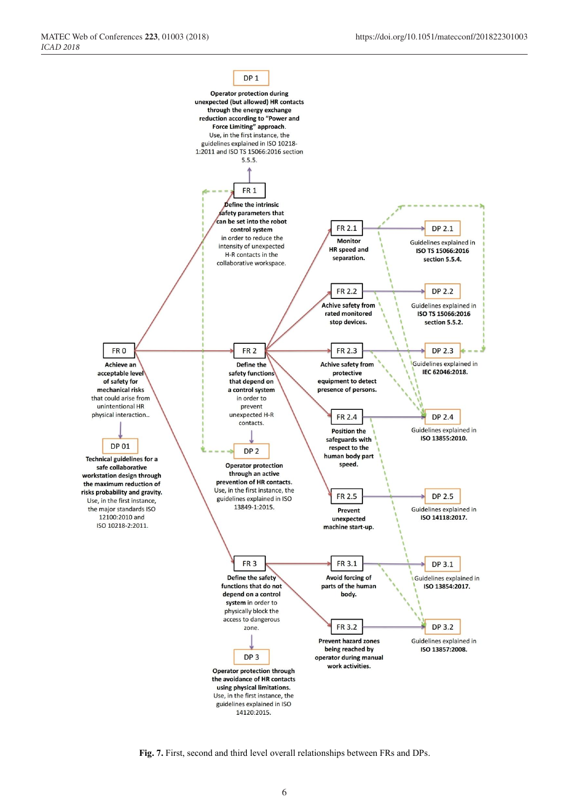

**Fig. 7.** First, second and third level overall relationships between FRs and DPs.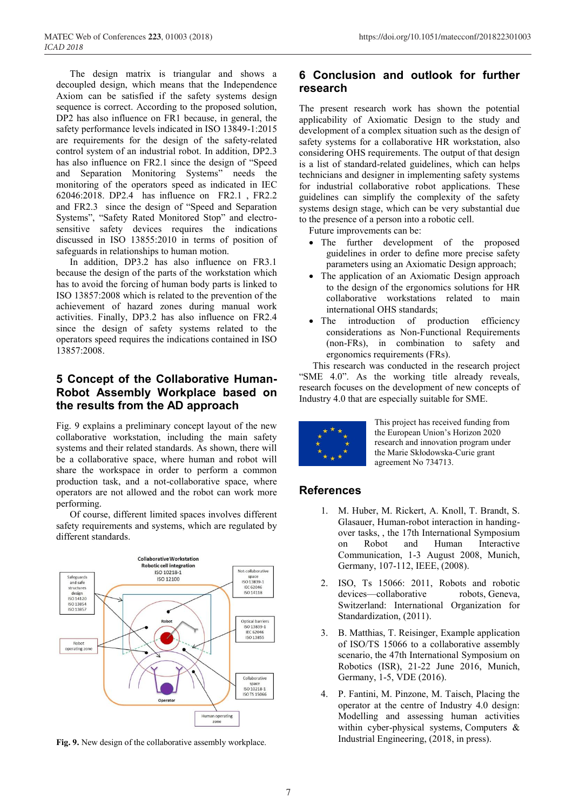The design matrix is triangular and shows a decoupled design, which means that the Independence Axiom can be satisfied if the safety systems design sequence is correct. According to the proposed solution, DP2 has also influence on FR1 because, in general, the safety performance levels indicated in ISO 13849-1:2015 are requirements for the design of the safety-related control system of an industrial robot. In addition, DP2.3 has also influence on FR2.1 since the design of "Speed and Separation Monitoring Systems" needs the monitoring of the operators speed as indicated in IEC 62046:2018. DP2.4 has influence on FR2.1 , FR2.2 and FR2.3 since the design of "Speed and Separation Systems", "Safety Rated Monitored Stop" and electrosensitive safety devices requires the indications discussed in ISO 13855:2010 in terms of position of safeguards in relationships to human motion.

In addition, DP3.2 has also influence on FR3.1 because the design of the parts of the workstation which has to avoid the forcing of human body parts is linked to ISO 13857:2008 which is related to the prevention of the achievement of hazard zones during manual work activities. Finally, DP3.2 has also influence on FR2.4 since the design of safety systems related to the operators speed requires the indications contained in ISO 13857:2008.

# **5 Concept of the Collaborative Human-Robot Assembly Workplace based on the results from the AD approach**

Fig. 9 explains a preliminary concept layout of the new collaborative workstation, including the main safety systems and their related standards. As shown, there will be a collaborative space, where human and robot will share the workspace in order to perform a common production task, and a not-collaborative space, where operators are not allowed and the robot can work more performing.

Of course, different limited spaces involves different safety requirements and systems, which are regulated by different standards.



**Fig. 9.** New design of the collaborative assembly workplace.

# **6 Conclusion and outlook for further research**

The present research work has shown the potential applicability of Axiomatic Design to the study and development of a complex situation such as the design of safety systems for a collaborative HR workstation, also considering OHS requirements. The output of that design is a list of standard-related guidelines, which can helps technicians and designer in implementing safety systems for industrial collaborative robot applications. These guidelines can simplify the complexity of the safety systems design stage, which can be very substantial due to the presence of a person into a robotic cell.

Future improvements can be:

- The further development of the proposed guidelines in order to define more precise safety parameters using an Axiomatic Design approach;
- The application of an Axiomatic Design approach to the design of the ergonomics solutions for HR collaborative workstations related to main international OHS standards;
- The introduction of production efficiency considerations as Non-Functional Requirements (non-FRs), in combination to safety and ergonomics requirements (FRs).

This research was conducted in the research project "SME 4.0". As the working title already reveals, research focuses on the development of new concepts of Industry 4.0 that are especially suitable for SME.



This project has received funding from the European Union"s Horizon 2020 research and innovation program under the Marie Skłodowska-Curie grant agreement No 734713.

# **References**

- 1. M. Huber, M. Rickert, A. Knoll, T. Brandt, S. Glasauer, Human-robot interaction in handingover tasks, , the 17th International Symposium on Robot and Human Interactive Communication, 1-3 August 2008, Munich, Germany, 107-112, IEEE, (2008).
- 2. ISO, Ts 15066: 2011, Robots and robotic devices—collaborative robots, Geneva, Switzerland: International Organization for Standardization, (2011).
- 3. B. Matthias, T. Reisinger, Example application of ISO/TS 15066 to a collaborative assembly scenario, the 47th International Symposium on Robotics (ISR), 21-22 June 2016, Munich, Germany, 1-5, VDE (2016).
- 4. P. Fantini, M. Pinzone, M. Taisch, Placing the operator at the centre of Industry 4.0 design: Modelling and assessing human activities within cyber-physical systems, Computers & Industrial Engineering, (2018, in press).